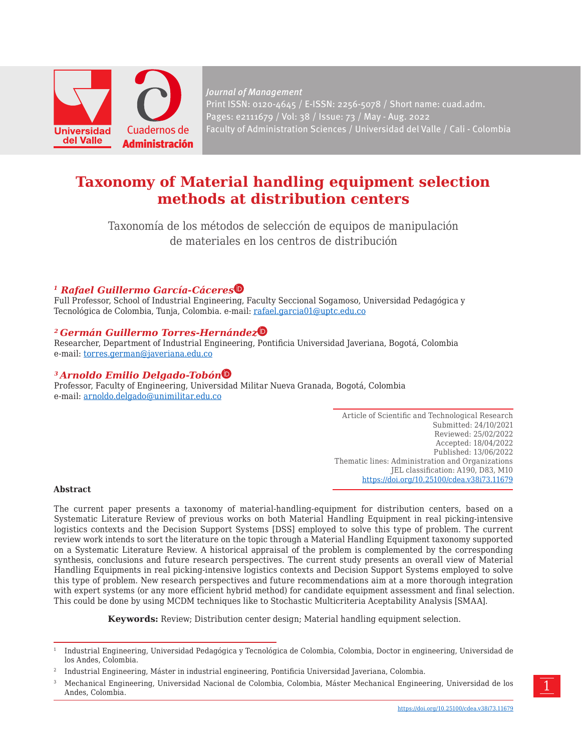

*Journal of Management* Print ISSN: 0120-4645 / E-ISSN: 2256-5078 / Short name: cuad.adm. Pages: e2111679 / Vol: 38 / Issue: 73 / May - Aug. 2022 Faculty of Administration Sciences / Universidad del Valle / Cali - Colombia

# **Taxonomy of Material handling equipment selection methods at distribution centers**

Taxonomía de los métodos de selección de equipos de manipulación de materiales en los centros de distribución

## *1 Rafael Guillermo García-Cácere[s](https://orcid.org/0000-0003-0902-1038)*

Full Professor, School of Industrial Engineering, Faculty Seccional Sogamoso, Universidad Pedagógica y Tecnológica de Colombia, Tunja, Colombia. e-mail: rafael.garcia01@uptc.edu.co

### *2 Germán Guillermo Torres-Hernánde[z](https://orcid.org/0000-0001-7665-990X)*

Researcher, Department of Industrial Engineering, Pontificia Universidad Javeriana, Bogotá, Colombia e-mail: [torres.german@javeriana.edu.co](mailto:torres.german@javeriana.edu.co)

#### *3 Arnoldo Emilio Delgado-Tobó[n](https://orcid.org/0000-0002-8743-8958)*

Professor, Faculty of Engineering, Universidad Militar Nueva Granada, Bogotá, Colombia e-mail: arnoldo.delgado@unimilitar.edu.co

> Article of Scientific and Technological Research Submitted: 24/10/2021 Reviewed: 25/02/2022 Accepted: 18/04/2022 Published: 13/06/2022 Thematic lines: Administration and Organizations JEL classification: A190, D83, M10 [https://doi.org/10.25100/cdea.v38i73.1](https://doi.org/10.25100/cdea.v38i73.11031)1679

#### **Abstract**

The current paper presents a taxonomy of material-handling-equipment for distribution centers, based on a Systematic Literature Review of previous works on both Material Handling Equipment in real picking-intensive logistics contexts and the Decision Support Systems [DSS] employed to solve this type of problem. The current review work intends to sort the literature on the topic through a Material Handling Equipment taxonomy supported on a Systematic Literature Review. A historical appraisal of the problem is complemented by the corresponding synthesis, conclusions and future research perspectives. The current study presents an overall view of Material Handling Equipments in real picking-intensive logistics contexts and Decision Support Systems employed to solve this type of problem. New research perspectives and future recommendations aim at a more thorough integration with expert systems (or any more efficient hybrid method) for candidate equipment assessment and final selection. This could be done by using MCDM techniques like to Stochastic Multicriteria Aceptability Analysis [SMAA].

**Keywords:** Review; Distribution center design; Material handling equipment selection.

<sup>1</sup> Industrial Engineering, Universidad Pedagógica y Tecnológica de Colombia, Colombia, Doctor in engineering, Universidad de los Andes, Colombia.

<sup>2</sup> Industrial Engineering, Máster in industrial engineering, Pontificia Universidad Javeriana, Colombia.

<sup>3</sup> Mechanical Engineering, Universidad Nacional de Colombia, Colombia, Máster Mechanical Engineering, Universidad de los Andes, Colombia.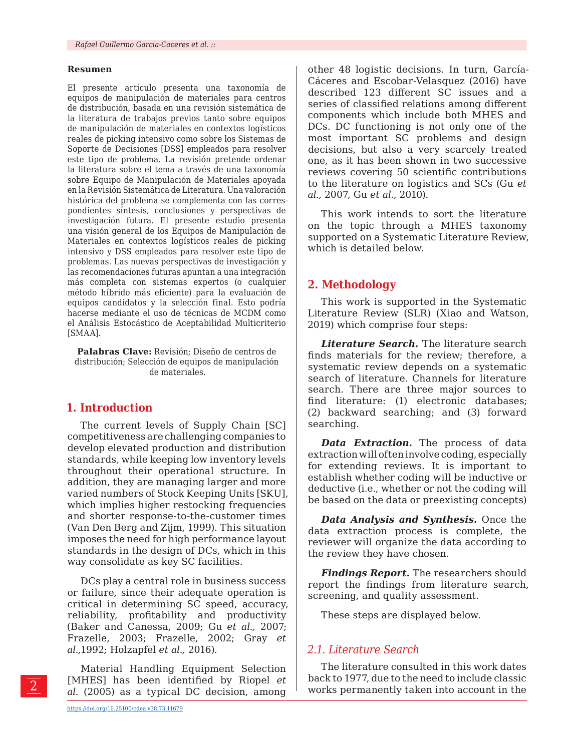#### **Resumen**

El presente artículo presenta una taxonomía de equipos de manipulación de materiales para centros de distribución, basada en una revisión sistemática de la literatura de trabajos previos tanto sobre equipos de manipulación de materiales en contextos logísticos reales de picking intensivo como sobre los Sistemas de Soporte de Decisiones [DSS] empleados para resolver este tipo de problema. La revisión pretende ordenar la literatura sobre el tema a través de una taxonomía sobre Equipo de Manipulación de Materiales apoyada en la Revisión Sistemática de Literatura. Una valoración histórica del problema se complementa con las correspondientes síntesis, conclusiones y perspectivas de investigación futura. El presente estudio presenta una visión general de los Equipos de Manipulación de Materiales en contextos logísticos reales de picking intensivo y DSS empleados para resolver este tipo de problemas. Las nuevas perspectivas de investigación y las recomendaciones futuras apuntan a una integración más completa con sistemas expertos (o cualquier método híbrido más eficiente) para la evaluación de equipos candidatos y la selección final. Esto podría hacerse mediante el uso de técnicas de MCDM como el Análisis Estocástico de Aceptabilidad Multicriterio [SMAA].

**Palabras Clave:** Revisión; Diseño de centros de distribución; Selección de equipos de manipulación de materiales.

#### **1. Introduction**

The current levels of Supply Chain [SC] competitiveness are challenging companies to develop elevated production and distribution standards, while keeping low inventory levels throughout their operational structure. In addition, they are managing larger and more varied numbers of Stock Keeping Units [SKU], which implies higher restocking frequencies and shorter response-to-the-customer times (Van Den Berg and Zijm, 1999). This situation imposes the need for high performance layout standards in the design of DCs, which in this way consolidate as key SC facilities.

DCs play a central role in business success or failure, since their adequate operation is critical in determining SC speed, accuracy, reliability, profitability and productivity (Baker and Canessa, 2009; Gu *et al.,* 2007; Frazelle, 2003; Frazelle, 2002; Gray *et al.,*1992; Holzapfel *et al.,* 2016).

Material Handling Equipment Selection [MHES] has been identified by Riopel *et al.* (2005) as a typical DC decision, among

other 48 logistic decisions. In turn, García-Cáceres and Escobar-Velasquez (2016) have described 123 different SC issues and a series of classified relations among different components which include both MHES and DCs. DC functioning is not only one of the most important SC problems and design decisions, but also a very scarcely treated one, as it has been shown in two successive reviews covering 50 scientific contributions to the literature on logistics and SCs (Gu *et al.,* 2007, Gu *et al.,* 2010).

This work intends to sort the literature on the topic through a MHES taxonomy supported on a Systematic Literature Review, which is detailed below.

### **2. Methodology**

This work is supported in the Systematic Literature Review (SLR) (Xiao and Watson, 2019) which comprise four steps:

*Literature Search.* The literature search finds materials for the review; therefore, a systematic review depends on a systematic search of literature. Channels for literature search. There are three major sources to find literature: (1) electronic databases; (2) backward searching; and (3) forward searching.

*Data Extraction.* The process of data extraction will often involve coding, especially for extending reviews. It is important to establish whether coding will be inductive or deductive (i.e., whether or not the coding will be based on the data or preexisting concepts)

*Data Analysis and Synthesis.* Once the data extraction process is complete, the reviewer will organize the data according to the review they have chosen.

*Findings Report.* The researchers should report the findings from literature search, screening, and quality assessment.

These steps are displayed below.

## *2.1. Literature Search*

The literature consulted in this work dates back to 1977, due to the need to include classic works permanently taken into account in the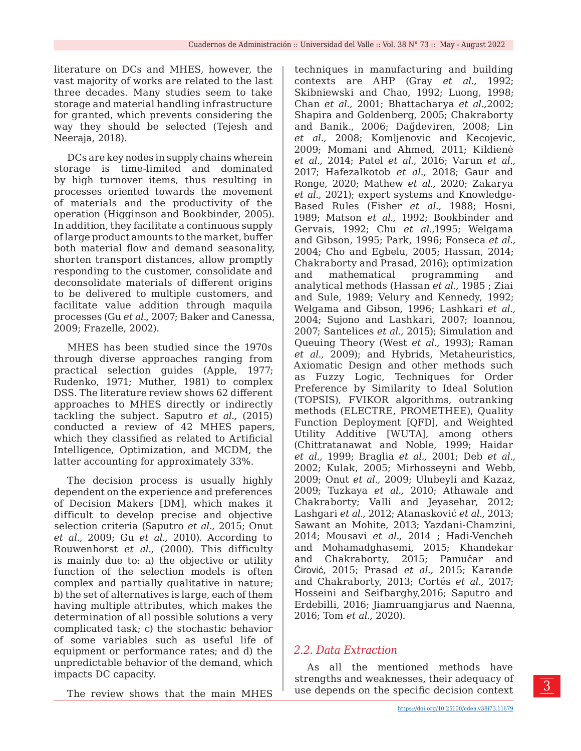literature on DCs and MHES, however, the vast majority of works are related to the last three decades. Many studies seem to take storage and material handling infrastructure for granted, which prevents considering the way they should be selected (Tejesh and Neeraja, 2018).

DCs are key nodes in supply chains wherein storage is time-limited and dominated by high turnover items, thus resulting in processes oriented towards the movement of materials and the productivity of the operation (Higginson and Bookbinder, 2005). In addition, they facilitate a continuous supply of large product amounts to the market, buffer both material flow and demand seasonality, shorten transport distances, allow promptly responding to the customer, consolidate and deconsolidate materials of different origins to be delivered to multiple customers, and facilitate value addition through maquila processes (Gu *et al.,* 2007; Baker and Canessa, 2009; Frazelle, 2002).

MHES has been studied since the 1970s through diverse approaches ranging from practical selection guides (Apple, 1977; Rudenko, 1971; Muther, 1981) to complex DSS. The literature review shows 62 different approaches to MHES directly or indirectly tackling the subject. Saputro *et al.,* (2015) conducted a review of 42 MHES papers, which they classified as related to Artificial Intelligence, Optimization, and MCDM, the latter accounting for approximately 33%.

The decision process is usually highly dependent on the experience and preferences of Decision Makers [DM], which makes it difficult to develop precise and objective selection criteria (Saputro *et al.,* 2015; Onut *et al.,* 2009; Gu *et al.,* 2010). According to Rouwenhorst *et al.,* (2000). This difficulty is mainly due to: a) the objective or utility function of the selection models is often complex and partially qualitative in nature; b) the set of alternatives is large, each of them having multiple attributes, which makes the determination of all possible solutions a very complicated task; c) the stochastic behavior of some variables such as useful life of equipment or performance rates; and d) the unpredictable behavior of the demand, which impacts DC capacity.

The review shows that the main MHES

techniques in manufacturing and building contexts are AHP (Gray *et al.,* 1992; Skibniewski and Chao, 1992; Luong, 1998; Chan *et al.,* 2001; Bhattacharya *et al.,*2002; Shapira and Goldenberg, 2005; Chakraborty and Banik., 2006; Dağdeviren, 2008; Lin *et al.,* 2008; Komljenovic and Kecojevic, 2009; Momani and Ahmed, 2011; Kildienė *et al.,* 2014; Patel *et al.,* 2016; Varun *et al.,* 2017; Hafezalkotob *et al.,* 2018; Gaur and Ronge, 2020; Mathew *et al.,* 2020; Zakarya *et al.,* 2021); expert systems and Knowledge-Based Rules (Fisher *et al.,* 1988; Hosni, 1989; Matson *et al.,* 1992; Bookbinder and Gervais, 1992; Chu *et al.,*1995; Welgama and Gibson, 1995; Park, 1996; Fonseca *et al.,* 2004; Cho and Egbelu, 2005; Hassan, 2014; Chakraborty and Prasad, 2016); optimization and mathematical programming and analytical methods (Hassan *et al.,* 1985 ; Ziai and Sule, 1989; Velury and Kennedy, 1992; Welgama and Gibson, 1996; Lashkari *et al.,* 2004; Sujono and Lashkari, 2007; Ioannou, 2007; Santelices *et al.,* 2015); Simulation and Queuing Theory (West *et al.,* 1993); Raman *et al.,* 2009); and Hybrids, Metaheuristics, Axiomatic Design and other methods such as Fuzzy Logic, Techniques for Order Preference by Similarity to Ideal Solution (TOPSIS), FVIKOR algorithms, outranking methods (ELECTRE, PROMETHEE), Quality Function Deployment [QFD], and Weighted Utility Additive [WUTA], among others (Chittratanawat and Noble, 1999; Haidar *et al.,* 1999; Braglia *et al.,* 2001; Deb *et al.,* 2002; Kulak, 2005; Mirhosseyni and Webb, 2009; Onut *et al.,* 2009; Ulubeyli and Kazaz, 2009; Tuzkaya *et al.,* 2010; Athawale and Chakraborty; Valli and Jeyasehar, 2012; Lashgari *et al.,* 2012; Atanasković *et al.,* 2013; Sawant an Mohite, 2013; Yazdani-Chamzini, 2014; Mousavi *et al.,* 2014 ; Hadi-Vencheh and Mohamadghasemi, 2015; Khandekar and Chakraborty, 2015; Pamučar and Ćirović, 2015; Prasad *et al.,* 2015; Karande and Chakraborty, 2013; Cortés *et al.,* 2017; Hosseini and Seifbarghy,2016; Saputro and Erdebilli, 2016; Jiamruangjarus and Naenna, 2016; Tom *et al.,* 2020).

## *2.2. Data Extraction*

As all the mentioned methods have strengths and weaknesses, their adequacy of use depends on the specific decision context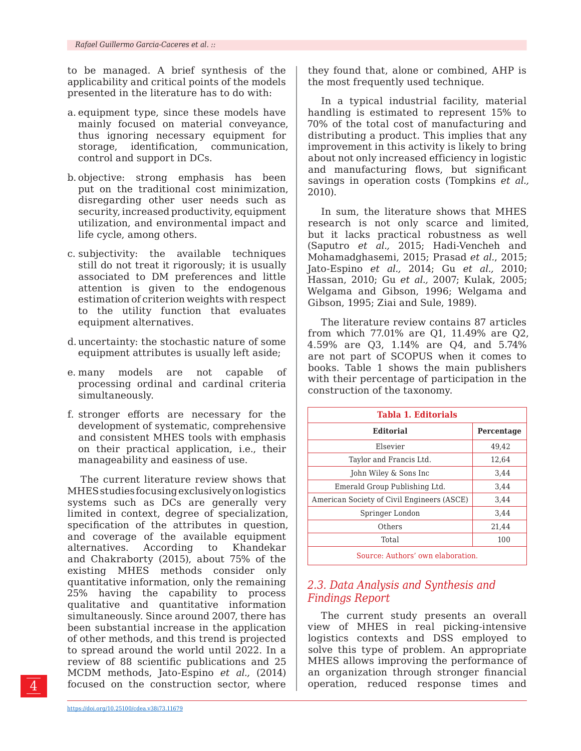to be managed. A brief synthesis of the applicability and critical points of the models presented in the literature has to do with:

- a. equipment type, since these models have mainly focused on material conveyance, thus ignoring necessary equipment for storage, identification, communication, control and support in DCs.
- b. objective: strong emphasis has been put on the traditional cost minimization, disregarding other user needs such as security, increased productivity, equipment utilization, and environmental impact and life cycle, among others.
- c. subjectivity: the available techniques still do not treat it rigorously; it is usually associated to DM preferences and little attention is given to the endogenous estimation of criterion weights with respect to the utility function that evaluates equipment alternatives.
- d. uncertainty: the stochastic nature of some equipment attributes is usually left aside;
- e. many models are not capable of processing ordinal and cardinal criteria simultaneously.
- f. stronger efforts are necessary for the development of systematic, comprehensive and consistent MHES tools with emphasis on their practical application, i.e., their manageability and easiness of use.

The current literature review shows that MHES studies focusing exclusively on logistics systems such as DCs are generally very limited in context, degree of specialization, specification of the attributes in question, and coverage of the available equipment alternatives. According to Khandekar and Chakraborty (2015), about 75% of the existing MHES methods consider only quantitative information, only the remaining 25% having the capability to process qualitative and quantitative information simultaneously. Since around 2007, there has been substantial increase in the application of other methods, and this trend is projected to spread around the world until 2022. In a review of 88 scientific publications and 25 MCDM methods, Jato-Espino *et al.,* (2014) focused on the construction sector, where

In a typical industrial facility, material handling is estimated to represent 15% to 70% of the total cost of manufacturing and distributing a product. This implies that any improvement in this activity is likely to bring about not only increased efficiency in logistic and manufacturing flows, but significant savings in operation costs (Tompkins *et al.,* 2010).

In sum, the literature shows that MHES research is not only scarce and limited, but it lacks practical robustness as well (Saputro *et al.,* 2015; Hadi-Vencheh and Mohamadghasemi, 2015; Prasad *et al.*, 2015; Jato-Espino *et al.,* 2014; Gu *et al.,* 2010; Hassan, 2010; Gu *et al.,* 2007; Kulak, 2005; Welgama and Gibson, 1996; Welgama and Gibson, 1995; Ziai and Sule, 1989).

The literature review contains 87 articles from which 77.01% are Q1, 11.49% are Q2, 4.59% are Q3, 1.14% are Q4, and 5.74% are not part of SCOPUS when it comes to books. Table 1 shows the main publishers with their percentage of participation in the construction of the taxonomy.

| <b>Tabla 1. Editorials</b>                 |            |
|--------------------------------------------|------------|
| <b>Editorial</b>                           | Percentage |
| Elsevier                                   | 49,42      |
| Taylor and Francis Ltd.                    | 12,64      |
| John Wiley & Sons Inc                      | 3,44       |
| Emerald Group Publishing Ltd.              | 3,44       |
| American Society of Civil Engineers (ASCE) | 3,44       |
| Springer London                            | 3,44       |
| Others                                     | 21,44      |
| Total                                      | 100        |
| Source: Authors' own elaboration.          |            |

# *2.3. Data Analysis and Synthesis and Findings Report*

The current study presents an overall view of MHES in real picking-intensive logistics contexts and DSS employed to solve this type of problem. An appropriate MHES allows improving the performance of an organization through stronger financial operation, reduced response times and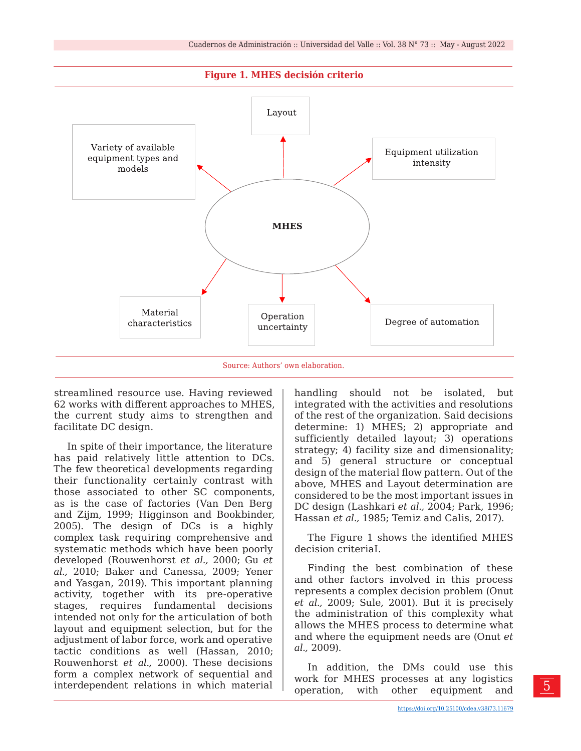



streamlined resource use. Having reviewed 62 works with different approaches to MHES, the current study aims to strengthen and facilitate DC design.

In spite of their importance, the literature has paid relatively little attention to DCs. The few theoretical developments regarding their functionality certainly contrast with those associated to other SC components, as is the case of factories (Van Den Berg and Zijm*,* 1999; Higginson and Bookbinder*,* 2005). The design of DCs is a highly complex task requiring comprehensive and systematic methods which have been poorly developed (Rouwenhorst *et al.,* 2000; Gu *et al.,* 2010; Baker and Canessa*,* 2009; Yener and Yasgan, 2019). This important planning activity, together with its pre-operative stages, requires fundamental decisions intended not only for the articulation of both layout and equipment selection, but for the adjustment of labor force, work and operative tactic conditions as well (Hassan, 2010; Rouwenhorst *et al.,* 2000). These decisions form a complex network of sequential and interdependent relations in which material

handling should not be isolated, but integrated with the activities and resolutions of the rest of the organization. Said decisions determine: 1) MHES; 2) appropriate and sufficiently detailed layout; 3) operations strategy; 4) facility size and dimensionality; and 5) general structure or conceptual design of the material flow pattern. Out of the above, MHES and Layout determination are considered to be the most important issues in DC design (Lashkari *et al.,* 2004; Park, 1996; Hassan *et al.,* 1985; Temiz and Calis, 2017).

The Figure 1 shows the identified MHES decision criteriaI.

Finding the best combination of these and other factors involved in this process represents a complex decision problem (Onut *et al.,* 2009; Sule, 2001). But it is precisely the administration of this complexity what allows the MHES process to determine what and where the equipment needs are (Onut *et al.,* 2009).

In addition, the DMs could use this work for MHES processes at any logistics operation, with other equipment and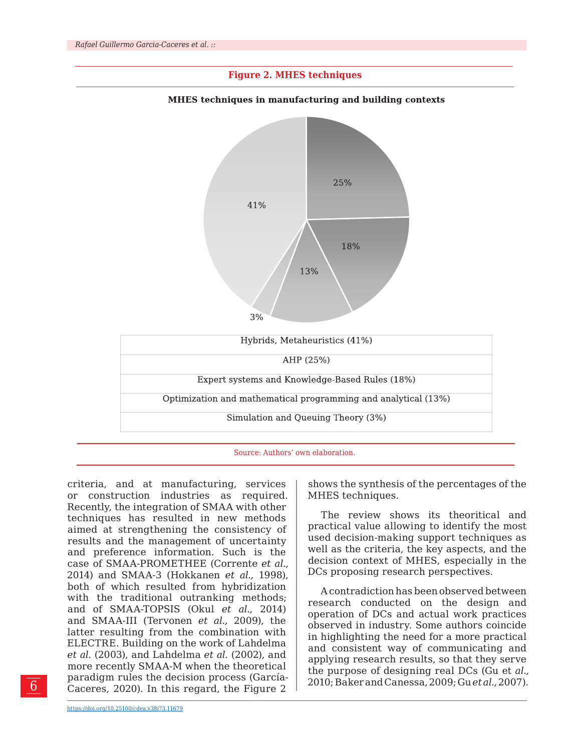

criteria, and at manufacturing, services or construction industries as required. Recently, the integration of SMAA with other techniques has resulted in new methods aimed at strengthening the consistency of results and the management of uncertainty and preference information. Such is the case of SMAA-PROMETHEE (Corrente *et al.,* 2014) and SMAA-3 (Hokkanen *et al.,* 1998), both of which resulted from hybridization with the traditional outranking methods; and of SMAA-TOPSIS (Okul *et al.,* 2014) and SMAA-III (Tervonen *et al.,* 2009), the latter resulting from the combination with ELECTRE. Building on the work of Lahdelma *et al.* (2003), and Lahdelma *et al.* (2002), and more recently SMAA-M when the theoretical paradigm rules the decision process (García-Caceres, 2020). In this regard, the Figure 2

shows the synthesis of the percentages of the MHES techniques.

The review shows its theoritical and practical value allowing to identify the most used decision-making support techniques as well as the criteria, the key aspects, and the decision context of MHES, especially in the DCs proposing research perspectives.

A contradiction has been observed between research conducted on the design and operation of DCs and actual work practices observed in industry. Some authors coincide in highlighting the need for a more practical and consistent way of communicating and applying research results, so that they serve the purpose of designing real DCs (Gu et *al.,* 2010; Baker and Canessa*,* 2009; Gu *et al.,* 2007).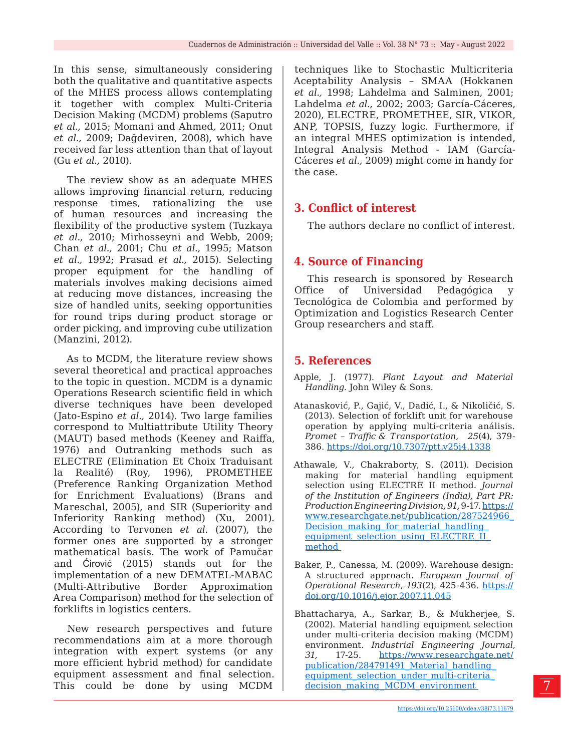In this sense, simultaneously considering both the qualitative and quantitative aspects of the MHES process allows contemplating it together with complex Multi-Criteria Decision Making (MCDM) problems (Saputro *et al.,* 2015; Momani and Ahmed*,* 2011; Onut *et al.,* 2009; Dağdeviren, 2008), which have received far less attention than that of layout (Gu *et al.,* 2010).

The review show as an adequate MHES allows improving financial return, reducing response times, rationalizing the use of human resources and increasing the flexibility of the productive system (Tuzkaya *et al.,* 2010; Mirhosseyni and Webb, 2009; Chan *et al.,* 2001; Chu *et al.,* 1995; Matson *et al.,* 1992; Prasad *et al.,* 2015). Selecting proper equipment for the handling of materials involves making decisions aimed at reducing move distances, increasing the size of handled units, seeking opportunities for round trips during product storage or order picking, and improving cube utilization (Manzini, 2012).

As to MCDM, the literature review shows several theoretical and practical approaches to the topic in question. MCDM is a dynamic Operations Research scientific field in which diverse techniques have been developed (Jato-Espino *et al.,* 2014). Two large families correspond to Multiattribute Utility Theory (MAUT) based methods (Keeney and Raiffa, 1976) and Outranking methods such as ELECTRE (Elimination Et Choix Traduisant la Realité) (Roy, 1996), PROMETHEE (Preference Ranking Organization Method for Enrichment Evaluations) (Brans and Mareschal, 2005), and SIR (Superiority and Inferiority Ranking method) (Xu, 2001). According to Tervonen *et al.* (2007), the former ones are supported by a stronger mathematical basis. The work of Pamučar and Ćirović (2015) stands out for the implementation of a new DEMATEL-MABAC (Multi-Attributive Border Approximation Area Comparison) method for the selection of forklifts in logistics centers.

New research perspectives and future recommendations aim at a more thorough integration with expert systems (or any more efficient hybrid method) for candidate equipment assessment and final selection. This could be done by using MCDM techniques like to Stochastic Multicriteria Aceptability Analysis – SMAA (Hokkanen *et al.,* 1998; Lahdelma and Salminen, 2001; Lahdelma *et al.,* 2002; 2003; García-Cáceres, 2020), ELECTRE, PROMETHEE, SIR, VIKOR, ANP, TOPSIS, fuzzy logic. Furthermore, if an integral MHES optimization is intended, Integral Analysis Method - IAM (García-Cáceres *et al.,* 2009) might come in handy for the case.

# **3. Conflict of interest**

The authors declare no conflict of interest.

# **4. Source of Financing**

This research is sponsored by Research Office of Universidad Pedagógica y Tecnológica de Colombia and performed by Optimization and Logistics Research Center Group researchers and staff.

## **5. References**

- Apple, J. (1977). *Plant Layout and Material Handling.* John Wiley & Sons.
- Atanasković, P., Gajić, V., Dadić, I., & Nikoličić, S. (2013). Selection of forklift unit for warehouse operation by applying multi-criteria análisis. *Promet - Traffic & Transportation, 25(4), 379-*386. <https://doi.org/10.7307/ptt.v25i4.1338>
- Athawale, V., Chakraborty, S. (2011). Decision making for material handling equipment selection using ELECTRE II method. *Journal of the Institution of Engineers (India), Part PR: Production Engineering Division*, *91,* 9-17. [https://](https://www.researchgate.net/publication/287524966_Decision_making_for_material_handling_equipment_selection_using_ELECTRE_II_method) [www.researchgate.net/publication/287524966\\_](https://www.researchgate.net/publication/287524966_Decision_making_for_material_handling_equipment_selection_using_ELECTRE_II_method) [Decision\\_making\\_for\\_material\\_handling\\_](https://www.researchgate.net/publication/287524966_Decision_making_for_material_handling_equipment_selection_using_ELECTRE_II_method) [equipment\\_selection\\_using\\_ELECTRE\\_II\\_](https://www.researchgate.net/publication/287524966_Decision_making_for_material_handling_equipment_selection_using_ELECTRE_II_method) [method](https://www.researchgate.net/publication/287524966_Decision_making_for_material_handling_equipment_selection_using_ELECTRE_II_method)
- Baker, P., Canessa, M. (2009). Warehouse design: A structured approach. *European Journal of Operational Research*, *193*(2), 425-436. [https://](https://doi.org/10.1016/j.ejor.2007.11.045) [doi.org/10.1016/j.ejor.2007.11.045](https://doi.org/10.1016/j.ejor.2007.11.045)

Bhattacharya, A., Sarkar, B., & Mukherjee, S. (2002). Material handling equipment selection under multi-criteria decision making (MCDM) environment. *Industrial Engineering Journal, 31,* 17-25. [https://www.researchgate.net/](https://www.researchgate.net/publication/284791491_Material_handling_equipment_selection_under_multi-criteria_decision_making_MCDM_environment) publication/284791491\_Material\_handling [equipment\\_selection\\_under\\_multi-criteria\\_](https://www.researchgate.net/publication/284791491_Material_handling_equipment_selection_under_multi-criteria_decision_making_MCDM_environment) [decision\\_making\\_MCDM\\_environment](https://www.researchgate.net/publication/284791491_Material_handling_equipment_selection_under_multi-criteria_decision_making_MCDM_environment)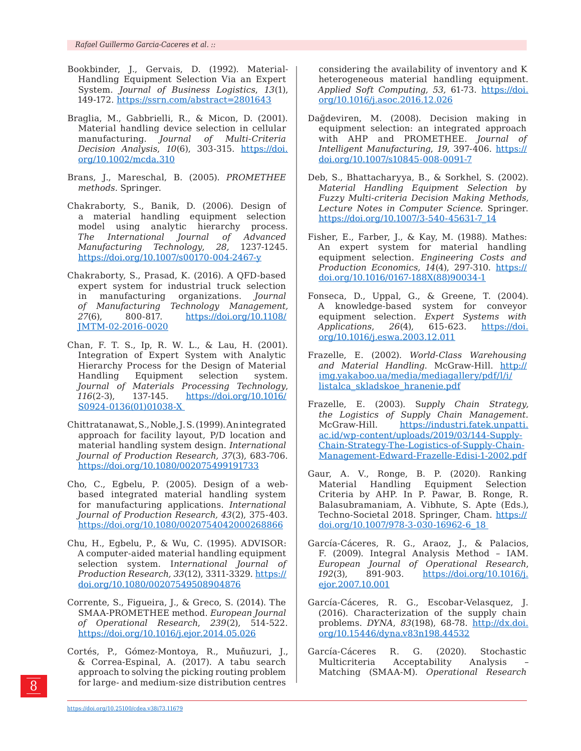- Bookbinder, J., Gervais, D. (1992). Material-Handling Equipment Selection Via an Expert System. *Journal of Business Logistics*, *13*(1), 149-172.<https://ssrn.com/abstract=2801643>
- Braglia, M., Gabbrielli, R., & Micon, D. (2001). Material handling device selection in cellular manufacturing. *Journal of Multi-Criteria Decision Analysis*, *10*(6), 303-315. [https://doi.](https://doi.org/10.1002/mcda.310) [org/10.1002/mcda.310](https://doi.org/10.1002/mcda.310)
- Brans, J., Mareschal, B. (2005). *PROMETHEE methods.* Springer.
- Chakraborty, S., Banik, D. (2006). Design of a material handling equipment selection model using analytic hierarchy process. *The International Journal of Advanced Manufacturing Technology*, *28,* 1237-1245. <https://doi.org/10.1007/s00170-004-2467-y>
- Chakraborty, S., Prasad, K. (2016). A QFD-based expert system for industrial truck selection in manufacturing organizations. *Journal of Manufacturing Technology Management, 27*(6), 800-817. [https://doi.org/10.1108/](https://doi.org/10.1108/JMTM-02-2016-0020) [JMTM-02-2016-0020](https://doi.org/10.1108/JMTM-02-2016-0020)
- Chan, F. T. S., Ip, R. W. L., & Lau, H. (2001). Integration of Expert System with Analytic Hierarchy Process for the Design of Material Handling Equipment selection system. *Journal of Materials Processing Technology*, *116*(2-3), 137-145. [https://doi.org/10.1016/](https://doi.org/10.1016/S0924-0136(01)01038-X) [S0924-0136\(01\)01038-X](https://doi.org/10.1016/S0924-0136(01)01038-X)
- Chittratanawat, S., Noble, J. S. (1999). An integrated approach for facility layout, P/D location and material handling system design. *International Journal of Production Research, 37*(3), 683-706. <https://doi.org/10.1080/002075499191733>
- Cho, C., Egbelu, P. (2005). Design of a webbased integrated material handling system for manufacturing applications. *International Journal of Production Research, 43*(2), 375-403. <https://doi.org/10.1080/0020754042000268866>
- Chu, H., Egbelu, P., & Wu, C. (1995). ADVISOR: A computer-aided material handling equipment selection system. I*nternational Journal of Production Research, 33*(12), 3311-3329. [https://](https://doi.org/10.1080/00207549508904876) [doi.org/10.1080/00207549508904876](https://doi.org/10.1080/00207549508904876)
- Corrente, S., Figueira, J., & Greco, S. (2014). The SMAA-PROMETHEE method. *European Journal of Operational Research*, *239*(2), 514-522. <https://doi.org/10.1016/j.ejor.2014.05.026>
- Cortés, P., Gómez-Montoya, R., Muñuzuri, J., & Correa-Espinal, A. (2017). A tabu search approach to solving the picking routing problem for large- and medium-size distribution centres

considering the availability of inventory and K heterogeneous material handling equipment. *Applied Soft Computing, 53,* 61-73. [https://doi.](https://doi.org/10.1016/j.asoc.2016.12.026) [org/10.1016/j.asoc.2016.12.026](https://doi.org/10.1016/j.asoc.2016.12.026)

- Dağdeviren, M. (2008). Decision making in equipment selection: an integrated approach with AHP and PROMETHEE. *Journal of Intelligent Manufacturing*, *19,* 397-406. [https://](https://doi.org/10.1007/s10845-008-0091-7) [doi.org/10.1007/s10845-008-0091-7](https://doi.org/10.1007/s10845-008-0091-7)
- Deb, S., Bhattacharyya, B., & Sorkhel, S. (2002). *Material Handling Equipment Selection by Fuzzy Multi-criteria Decision Making Methods, Lecture Notes in Computer Science.* Springer. [https://doi.org/10.1007/3-540-45631-7\\_14](https://doi.org/10.1007/3-540-45631-7_14)
- Fisher, E., Farber, J., & Kay, M. (1988). Mathes: An expert system for material handling equipment selection. *Engineering Costs and Production Economics, 14*(4), 297-310. [https://](https://doi.org/10.1016/0167-188X(88)90034-1) [doi.org/10.1016/0167-188X\(88\)90034-1](https://doi.org/10.1016/0167-188X(88)90034-1)
- Fonseca, D., Uppal, G., & Greene, T. (2004). A knowledge-based system for conveyor equipment selection. *Expert Systems with Applications*, *26*(4), 615-623. [https://doi.](https://doi.org/10.1016/j.eswa.2003.12.011) [org/10.1016/j.eswa.2003.12.011](https://doi.org/10.1016/j.eswa.2003.12.011)
- Frazelle, E. (2002). *World-Class Warehousing and Material Handling*. McGraw-Hill. [http://](http://img.yakaboo.ua/media/mediagallery/pdf/l/i/listalca_skladskoe_hranenie.pdf) [img.yakaboo.ua/media/mediagallery/pdf/l/i/](http://img.yakaboo.ua/media/mediagallery/pdf/l/i/listalca_skladskoe_hranenie.pdf) [listalca\\_skladskoe\\_hranenie.pdf](http://img.yakaboo.ua/media/mediagallery/pdf/l/i/listalca_skladskoe_hranenie.pdf)
- Frazelle, E. (2003). S*upply Chain Strategy, the Logistics of Supply Chain Management.*  McGraw-Hill. [https://industri.fatek.unpatti.](https://industri.fatek.unpatti.ac.id/wp-content/uploads/2019/03/144-Supply-Chain-Strategy-The-Logistics-of-Supply-Chain-Management-Edward-Frazelle-Edisi-1-2002.pdf) [ac.id/wp-content/uploads/2019/03/144-Supply-](https://industri.fatek.unpatti.ac.id/wp-content/uploads/2019/03/144-Supply-Chain-Strategy-The-Logistics-of-Supply-Chain-Management-Edward-Frazelle-Edisi-1-2002.pdf)[Chain-Strategy-The-Logistics-of-Supply-Chain-](https://industri.fatek.unpatti.ac.id/wp-content/uploads/2019/03/144-Supply-Chain-Strategy-The-Logistics-of-Supply-Chain-Management-Edward-Frazelle-Edisi-1-2002.pdf)[Management-Edward-Frazelle-Edisi-1-2002.pdf](https://industri.fatek.unpatti.ac.id/wp-content/uploads/2019/03/144-Supply-Chain-Strategy-The-Logistics-of-Supply-Chain-Management-Edward-Frazelle-Edisi-1-2002.pdf)
- Gaur, A. V., Ronge, B. P. (2020). Ranking Material Handling Equipment Selection Criteria by AHP. In P. Pawar, B. Ronge, R. Balasubramaniam, A. Vibhute, S. Apte (Eds.), Techno-Societal 2018. Springer, Cham. [https://](https://doi.org/10.1007/978-3-030-16962-6_18) [doi.org/10.1007/978-3-030-16962-6\\_18](https://doi.org/10.1007/978-3-030-16962-6_18)
- García-Cáceres, R. G., Araoz, J., & Palacios, F. (2009). Integral Analysis Method – IAM. *European Journal of Operational Research*, *192*(3), 891-903. [https://doi.org/10.1016/j.](https://doi.org/10.1016/j.ejor.2007.10.001) [ejor.2007.10.001](https://doi.org/10.1016/j.ejor.2007.10.001)
- García-Cáceres, R. G., Escobar-Velasquez, J. (2016). Characterization of the supply chain problems. *DYNA*, *83*(198), 68-78. [http://dx.doi.](http://dx.doi.org/10.15446/dyna.v83n198.44532) [org/10.15446/dyna.v83n198.44532](http://dx.doi.org/10.15446/dyna.v83n198.44532)
- García-Cáceres R. G. (2020). Stochastic Multicriteria Acceptability Analysis – Matching (SMAA-M). *Operational Research*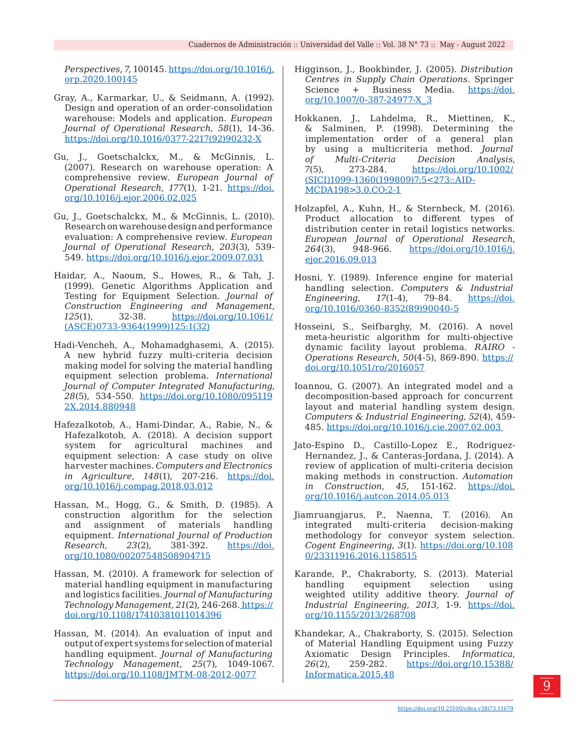*Perspectives*, *7,* 100145. [https://doi.org/10.1016/j.](https://doi.org/10.1016/j.orp.2020.100145) [orp.2020.100145](https://doi.org/10.1016/j.orp.2020.100145)

- Gray, A., Karmarkar, U., & Seidmann, A. (1992). Design and operation of an order-consolidation warehouse: Models and application. *European Journal of Operational Research*, *58*(1), 14-36. [https://doi.org/10.1016/0377-2217\(92\)90232-X](https://doi.org/10.1016/0377-2217(92)90232-X)
- Gu, J., Goetschalckx, M., & McGinnis, L. (2007). Research on warehouse operation: A comprehensive review. *European Journal of Operational Research*, *177*(1), 1-21. [https://doi.](https://doi.org/10.1016/j.ejor.2006.02.025) [org/10.1016/j.ejor.2006.02.025](https://doi.org/10.1016/j.ejor.2006.02.025)
- Gu, J., Goetschalckx, M., & McGinnis, L. (2010). Research on warehouse design and performance evaluation: A comprehensive review. *European Journal of Operational Research, 203*(3), 539- 549. <https://doi.org/10.1016/j.ejor.2009.07.031>
- Haidar, A., Naoum, S., Howes, R., & Tah, J. (1999). Genetic Algorithms Application and Testing for Equipment Selection. *Journal of Construction Engineering and Management, 125*(1), 32-38. [https://doi.org/10.1061/](https://doi.org/10.1061/(ASCE)0733-9364(1999)125:1(32)) [\(ASCE\)0733-9364\(1999\)125:1\(32\)](https://doi.org/10.1061/(ASCE)0733-9364(1999)125:1(32))
- Hadi-Vencheh, A., Mohamadghasemi, A. (2015). A new hybrid fuzzy multi-criteria decision making model for solving the material handling equipment selection problema. *International Journal of Computer Integrated Manufacturing, 28*(5), 534-550. [https://doi.org/10.1080/095119](https://doi.org/10.1080/0951192X.2014.880948) [2X.2014.880948](https://doi.org/10.1080/0951192X.2014.880948)
- Hafezalkotob, A., Hami-Dindar, A., Rabie, N., & Hafezalkotob, A. (2018). A decision support system for agricultural machines and equipment selection: A case study on olive harvester machines. *Computers and Electronics in Agriculture*, *148*(1), 207-216. [https://doi.](https://doi.org/10.1016/j.compag.2018.03.012) [org/10.1016/j.compag.2018.03.012](https://doi.org/10.1016/j.compag.2018.03.012)
- Hassan, M., Hogg, G., & Smith, D. (1985). A construction algorithm for the selection and assignment of materials handling equipment. *International Journal of Production Research, 23*(2), 381-392. [https://doi.](https://doi.org/10.1080/00207548508904715) [org/10.1080/00207548508904715](https://doi.org/10.1080/00207548508904715)
- Hassan, M. (2010). A framework for selection of material handling equipment in manufacturing and logistics facilities. *Journal of Manufacturing Technology Management, 21*(2), 246-268. [https://](https://doi.org/10.1108/17410381011014396) [doi.org/10.1108/17410381011014396](https://doi.org/10.1108/17410381011014396)
- Hassan, M. (2014). An evaluation of input and output of expert systems for selection of material handling equipment. *Journal of Manufacturing Technology Management, 25*(7), 1049-1067. <https://doi.org/10.1108/JMTM-08-2012-0077>
- Higginson, J., Bookbinder, J. (2005). *Distribution Centres in Supply Chain Operations.* Springer Science + Business Media. [https://doi.](https://doi.org/10.1007/0-387-24977-X_3) [org/10.1007/0-387-24977-X\\_3](https://doi.org/10.1007/0-387-24977-X_3)
- Hokkanen, J., Lahdelma, R., Miettinen, K., & Salminen, P. (1998). Determining the implementation order of a general plan by using a multicriteria method. *Journal of Multi-Criteria Decision Analysis*, *7*(5), 273-284. [https://doi.org/10.1002/](https://doi.org/10.1002/(SICI)1099-1360(199809)7:5%3c273::AID-MCDA198%3e3.0.CO;2-1) [\(SICI\)1099-1360\(199809\)7:5<273::AID-](https://doi.org/10.1002/(SICI)1099-1360(199809)7:5%3c273::AID-MCDA198%3e3.0.CO;2-1)[MCDA198>3.0.CO;2-1](https://doi.org/10.1002/(SICI)1099-1360(199809)7:5%3c273::AID-MCDA198%3e3.0.CO;2-1)
- Holzapfel, A., Kuhn, H., & Sternbeck, M. (2016). Product allocation to different types of distribution center in retail logistics networks. *European Journal of Operational Research*, *264*(3), 948-966. [https://doi.org/10.1016/j.](https://doi.org/10.1016/j.ejor.2016.09.013) [ejor.2016.09.013](https://doi.org/10.1016/j.ejor.2016.09.013)
- Hosni, Y. (1989). Inference engine for material handling selection. *Computers& Industrial Engineering, 17*(1-4), 79-84. [https://doi.](https://doi.org/10.1016/0360-8352(89)90040-5) [org/10.1016/0360-8352\(89\)90040-5](https://doi.org/10.1016/0360-8352(89)90040-5)
- Hosseini, S., Seifbarghy, M. (2016). A novel meta-heuristic algorithm for multi-objective dynamic facility layout problema. *RAIRO - Operations Research*, *50*(4-5), 869-890. [https://](https://doi.org/10.1051/ro/2016057) [doi.org/10.1051/ro/2016057](https://doi.org/10.1051/ro/2016057)
- Ioannou, G. (2007). An integrated model and a decomposition-based approach for concurrent layout and material handling system design. *Computers& Industrial Engineering, 52*(4), 459- 485.<https://doi.org/10.1016/j.cie.2007.02.003>
- Jato-Espino D., Castillo-Lopez E., Rodriguez-Hernandez, J., & Canteras-Jordana, J. (2014). A review of application of multi-criteria decision making methods in construction. *Automation in Construction*, *45,* 151-162. [https://doi.](https://doi.org/10.1016/j.autcon.2014.05.013) [org/10.1016/j.autcon.2014.05.013](https://doi.org/10.1016/j.autcon.2014.05.013)
- Jiamruangjarus, P., Naenna, T. (2016). An integrated multi-criteria decision-making methodology for conveyor system selection. *Cogent Engineering, 3*(1). [https://doi.org/10.108](https://doi.org/10.1080/23311916.2016.1158515) [0/23311916.2016.1158515](https://doi.org/10.1080/23311916.2016.1158515)
- Karande, P., Chakraborty, S. (2013). Material handling equipment selection using weighted utility additive theory. *Journal of Industrial Engineering*, *2013,* 1-9. [https://doi.](https://doi.org/10.1155/2013/268708) [org/10.1155/2013/268708](https://doi.org/10.1155/2013/268708)
- Khandekar, A., Chakraborty, S. (2015). Selection of Material Handling Equipment using Fuzzy Axiomatic Design Principles. *Informatica*, *26*(2), 259-282. [https://doi.org/10.15388/](https://doi.org/10.15388/Informatica.2015.48) [Informatica.2015.48](https://doi.org/10.15388/Informatica.2015.48)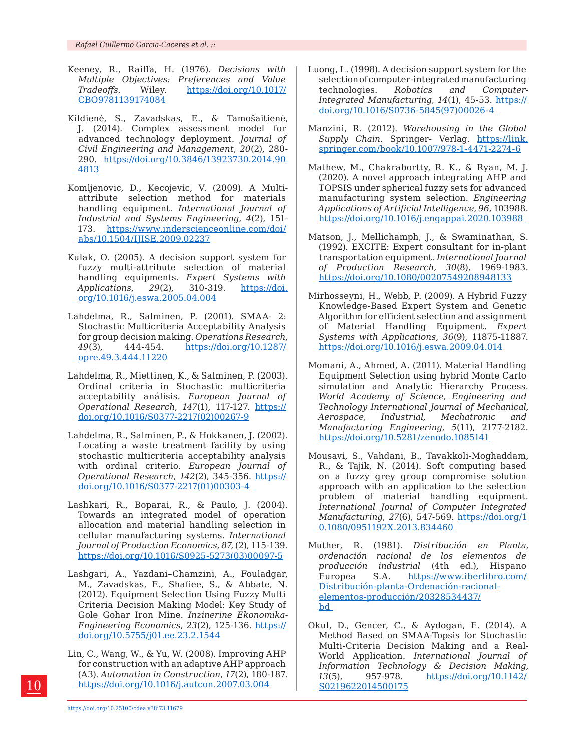- Keeney, R., Raiffa, H. (1976). *Decisions with Multiple Objectives: Preferences and Value Tradeoffs.* Wiley. [https://doi.org/10.1017/](https://doi.org/10.1017/CBO9781139174084) [CBO9781139174084](https://doi.org/10.1017/CBO9781139174084)
- Kildienė, S., Zavadskas, E., & Tamošaitienė, J. (2014). Complex assessment model for advanced technology deployment. *Journal of Civil Engineering and Management*, *20*(2), 280- 290. [https://doi.org/10.3846/13923730.2014.90](https://doi.org/10.3846/13923730.2014.904813) [4813](https://doi.org/10.3846/13923730.2014.904813)
- Komljenovic, D., Kecojevic, V. (2009). A Multiattribute selection method for materials handling equipment. *International Journal of Industrial and Systems Engineering*, *4*(2), 151- 173. [https://www.inderscienceonline.com/doi/](https://www.inderscienceonline.com/doi/abs/10.1504/IJISE.2009.02237) [abs/10.1504/IJISE.2009.02237](https://www.inderscienceonline.com/doi/abs/10.1504/IJISE.2009.02237)
- Kulak, O. (2005). A decision support system for fuzzy multi-attribute selection of material handling equipments. *Expert Systems with Applications*, *29*(2), 310-319. [https://doi.](https://doi.org/10.1016/j.eswa.2005.04.004) [org/10.1016/j.eswa.2005.04.004](https://doi.org/10.1016/j.eswa.2005.04.004)
- Lahdelma, R., Salminen, P. (2001). SMAA- 2: Stochastic Multicriteria Acceptability Analysis for group decision making. *Operations Research*, *49*(3), 444-454. [https://doi.org/10.1287/](https://doi.org/10.1287/opre.49.3.444.11220) [opre.49.3.444.11220](https://doi.org/10.1287/opre.49.3.444.11220)
- Lahdelma, R., Miettinen, K., & Salminen, P. (2003). Ordinal criteria in Stochastic multicriteria acceptability análisis. *European Journal of Operational Research*, *147*(1), 117-127. [https://](https://doi.org/10.1016/S0377-2217(02)00267-9) [doi.org/10.1016/S0377-2217\(02\)00267-9](https://doi.org/10.1016/S0377-2217(02)00267-9)
- Lahdelma, R., Salminen, P., & Hokkanen, J. (2002). Locating a waste treatment facility by using stochastic multicriteria acceptability analysis with ordinal criterio. *European Journal of Operational Research*, *142*(2), 345-356. [https://](https://doi.org/10.1016/S0377-2217(01)00303-4) [doi.org/10.1016/S0377-2217\(01\)00303-4](https://doi.org/10.1016/S0377-2217(01)00303-4)
- Lashkari, R., Boparai, R., & Paulo, J. (2004). Towards an integrated model of operation allocation and material handling selection in cellular manufacturing systems. *International Journal of Production Economics, 87,* (2), 115-139. [https://doi.org/10.1016/S0925-5273\(03\)00097-5](https://doi.org/10.1016/S0925-5273(03)00097-5)
- Lashgari, A., Yazdani–Chamzini, A., Fouladgar, M., Zavadskas, E., Shafiee, S., & Abbate, N. (2012). Equipment Selection Using Fuzzy Multi Criteria Decision Making Model: Key Study of Gole Gohar Iron Mine. *Inzinerine Ekonomika-Engineering Economics*, *23*(2), 125-136. [https://](https://doi.org/10.5755/j01.ee.23.2.1544) [doi.org/10.5755/j01.ee.23.2.1544](https://doi.org/10.5755/j01.ee.23.2.1544)
- Lin, C., Wang, W., & Yu, W. (2008). Improving AHP for construction with an adaptive AHP approach (A3). *Automation in Construction*, *17*(2), 180-187. <https://doi.org/10.1016/j.autcon.2007.03.004>
- Luong, L. (1998). A decision support system for the selection of computer-integrated manufacturing technologies. *Robotics and Computer-Integrated Manufacturing, 14*(1), 45-53. [https://](https://doi.org/10.1016/S0736-5845(97)00026-4) [doi.org/10.1016/S0736-5845\(97\)00026-4](https://doi.org/10.1016/S0736-5845(97)00026-4)
- Manzini, R. (2012). *Warehousing in the Global Supply Chain*. Springer- Verlag. [https://link.](https://link.springer.com/book/10.1007/978-1-4471-2274-6) [springer.com/book/10.1007/978-1-4471-2274-6](https://link.springer.com/book/10.1007/978-1-4471-2274-6)
- Mathew, M., Chakrabortty, R. K., & Ryan, M. J. (2020). A novel approach integrating AHP and TOPSIS under spherical fuzzy sets for advanced manufacturing system selection. *Engineering Applications of Artificial Intelligence*, *96,* 103988. <https://doi.org/10.1016/j.engappai.2020.103988>
- Matson, J., Mellichamph, J., & Swaminathan, S. (1992). EXCITE: Expert consultant for in-plant transportation equipment. *International Journal of Production Research, 30*(8), 1969-1983. <https://doi.org/10.1080/00207549208948133>
- Mirhosseyni, H., Webb, P. (2009). A Hybrid Fuzzy Knowledge-Based Expert System and Genetic Algorithm for efficient selection and assignment of Material Handling Equipment. *Expert Systems with Applications*, *36*(9), 11875-11887. <https://doi.org/10.1016/j.eswa.2009.04.014>
- Momani, A., Ahmed, A. (2011). Material Handling Equipment Selection using hybrid Monte Carlo simulation and Analytic Hierarchy Process. *World Academy of Science, Engineering and Technology International Journal of Mechanical, Aerospace, Industrial, Mechatronic and Manufacturing Engineering, 5*(11), 2177-2182. https://doi.org/10.5281/zenodo.1085141
- Mousavi, S., Vahdani, B., Tavakkoli-Moghaddam, R., & Tajik, N. (2014). Soft computing based on a fuzzy grey group compromise solution approach with an application to the selection problem of material handling equipment. *International Journal of Computer Integrated Manufacturing*, *27*(6), 547-569. [https://doi.org/1](https://doi.org/10.1080/0951192X.2013.834460) [0.1080/0951192X.2013.834460](https://doi.org/10.1080/0951192X.2013.834460)
- Muther, R. (1981). *Distribución en Planta, ordenación racional de los elementos de producción industrial* (4th ed.), Hispano Europea S.A. [https://www.iberlibro.com/](https://www.iberlibro.com/Distribución-planta-Ordenación-racional-elementos-producción/20328534437/bd) [Distribución-planta-Ordenación-racional](https://www.iberlibro.com/Distribución-planta-Ordenación-racional-elementos-producción/20328534437/bd)[elementos-producción/20328534437/](https://www.iberlibro.com/Distribución-planta-Ordenación-racional-elementos-producción/20328534437/bd) [bd](https://www.iberlibro.com/Distribución-planta-Ordenación-racional-elementos-producción/20328534437/bd)
- Okul, D., Gencer, C., & Aydogan, E. (2014). A Method Based on SMAA-Topsis for Stochastic Multi-Criteria Decision Making and a Real-World Application. *International Journal of Information Technology & Decision Making*, *13*(5), 957-978. [https://doi.org/10.1142/](https://doi.org/10.1142/S0219622014500175) [S0219622014500175](https://doi.org/10.1142/S0219622014500175)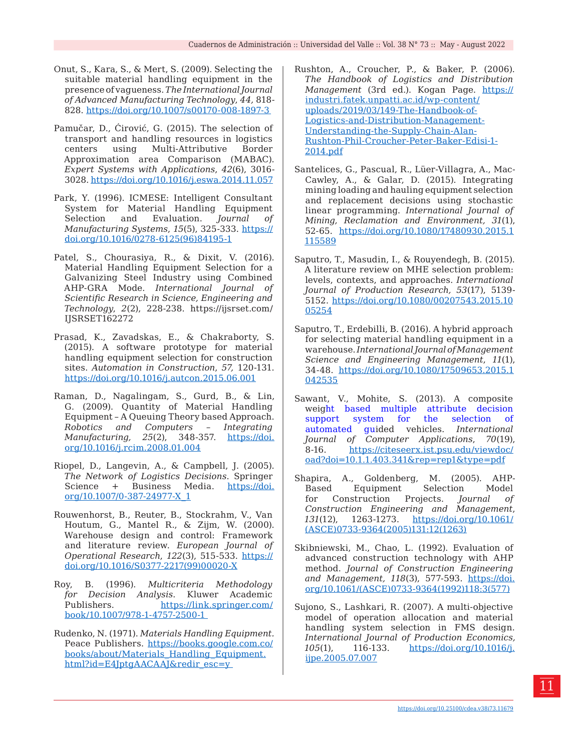- Onut, S., Kara, S., & Mert, S. (2009). Selecting the suitable material handling equipment in the presence of vagueness. *The International Journal of Advanced Manufacturing Technology*, *44,* 818- 828. <https://doi.org/10.1007/s00170-008-1897-3>
- Pamučar, D., Ćirović, G. (2015). The selection of transport and handling resources in logistics centers using Multi-Attributive Border Approximation area Comparison (MABAC). *Expert Systems with Applications*, *42*(6), 3016- 3028.<https://doi.org/10.1016/j.eswa.2014.11.057>
- Park, Y. (1996). ICMESE: Intelligent Consultant System for Material Handling Equipment<br>Selection and Evaluation. Journal of Selection and Evaluation. *Journal of Manufacturing Systems*, *15*(5), 325-333. [https://](https://doi.org/10.1016/0278-6125(96)84195-1) [doi.org/10.1016/0278-6125\(96\)84195-1](https://doi.org/10.1016/0278-6125(96)84195-1)
- Patel, S., Chourasiya, R., & Dixit, V. (2016). Material Handling Equipment Selection for a Galvanizing Steel Industry using Combined AHP-GRA Mode. *International Journal of Scientific Research in Science, Engineering and Technology*, *2*(2), 228-238. https://ijsrset.com/ IJSRSET162272
- Prasad, K., Zavadskas, E., & Chakraborty, S. (2015). A software prototype for material handling equipment selection for construction sites. *Automation in Construction*, *57,* 120-131. <https://doi.org/10.1016/j.autcon.2015.06.001>
- Raman, D., Nagalingam, S., Gurd, B., & Lin, G. (2009). Quantity of Material Handling Equipment – A Queuing Theory based Approach. *Robotics and Computers – Integrating Manufacturing, 25*(2), 348-357. [https://doi.](https://doi.org/10.1016/j.rcim.2008.01.004) [org/10.1016/j.rcim.2008.01.004](https://doi.org/10.1016/j.rcim.2008.01.004)
- Riopel, D., Langevin, A., & Campbell, J. (2005). *The Network of Logistics Decisions*. Springer Science + Business Media. [https://doi.](https://doi.org/10.1007/0-387-24977-X_1) [org/10.1007/0-387-24977-X\\_1](https://doi.org/10.1007/0-387-24977-X_1)
- Rouwenhorst, B., Reuter, B., Stockrahm, V., Van Houtum, G., Mantel R., & Zijm, W. (2000). Warehouse design and control: Framework and literature review. *European Journal of Operational Research*, *122*(3), 515-533. [https://](https://doi.org/10.1016/S0377-2217(99)00020-X) [doi.org/10.1016/S0377-2217\(99\)00020-X](https://doi.org/10.1016/S0377-2217(99)00020-X)
- Roy, B. (1996). *Multicriteria Methodology for Decision Analysis*. Kluwer Academic Publishers. [https://link.springer.com/](https://link.springer.com/book/10.1007/978-1-4757-2500-1) [book/10.1007/978-1-4757-2500-1](https://link.springer.com/book/10.1007/978-1-4757-2500-1)
- Rudenko, N. (1971). *Materials Handling Equipment.* Peace Publishers. [https://books.google.com.co/](https://books.google.com.co/books/about/Materials_Handling_Equipment.html?id=E4JptgAACAAJ&redir_esc=y) [books/about/Materials\\_Handling\\_Equipment.](https://books.google.com.co/books/about/Materials_Handling_Equipment.html?id=E4JptgAACAAJ&redir_esc=y) [html?id=E4JptgAACAAJ&redir\\_esc=y](https://books.google.com.co/books/about/Materials_Handling_Equipment.html?id=E4JptgAACAAJ&redir_esc=y)
- Rushton, A., Croucher, P., & Baker, P. (2006). *The Handbook of Logistics and Distribution Management* (3rd ed.). Kogan Page. [https://](https://industri.fatek.unpatti.ac.id/wp-content/uploads/2019/03/149-The-Handbook-of-Logistics-and-Distribution-Management-Understanding-the-Supply-Chain-Alan-Rushton-Phil-Croucher-Peter-Baker-Edisi-1-2014.pdf) [industri.fatek.unpatti.ac.id/wp-content/](https://industri.fatek.unpatti.ac.id/wp-content/uploads/2019/03/149-The-Handbook-of-Logistics-and-Distribution-Management-Understanding-the-Supply-Chain-Alan-Rushton-Phil-Croucher-Peter-Baker-Edisi-1-2014.pdf) [uploads/2019/03/149-The-Handbook-of-](https://industri.fatek.unpatti.ac.id/wp-content/uploads/2019/03/149-The-Handbook-of-Logistics-and-Distribution-Management-Understanding-the-Supply-Chain-Alan-Rushton-Phil-Croucher-Peter-Baker-Edisi-1-2014.pdf)[Logistics-and-Distribution-Management-](https://industri.fatek.unpatti.ac.id/wp-content/uploads/2019/03/149-The-Handbook-of-Logistics-and-Distribution-Management-Understanding-the-Supply-Chain-Alan-Rushton-Phil-Croucher-Peter-Baker-Edisi-1-2014.pdf)[Understanding-the-Supply-Chain-Alan-](https://industri.fatek.unpatti.ac.id/wp-content/uploads/2019/03/149-The-Handbook-of-Logistics-and-Distribution-Management-Understanding-the-Supply-Chain-Alan-Rushton-Phil-Croucher-Peter-Baker-Edisi-1-2014.pdf)[Rushton-Phil-Croucher-Peter-Baker-Edisi-1-](https://industri.fatek.unpatti.ac.id/wp-content/uploads/2019/03/149-The-Handbook-of-Logistics-and-Distribution-Management-Understanding-the-Supply-Chain-Alan-Rushton-Phil-Croucher-Peter-Baker-Edisi-1-2014.pdf) [2014.pdf](https://industri.fatek.unpatti.ac.id/wp-content/uploads/2019/03/149-The-Handbook-of-Logistics-and-Distribution-Management-Understanding-the-Supply-Chain-Alan-Rushton-Phil-Croucher-Peter-Baker-Edisi-1-2014.pdf)
- Santelices, G., Pascual, R., Lüer-Villagra, A., Mac-Cawley, A., & Galar, D. (2015). Integrating mining loading and hauling equipment selection and replacement decisions using stochastic linear programming. *International Journal of Mining, Reclamation and Environment, 31*(1), 52-65. [https://doi.org/10.1080/17480930.2015.1](https://doi.org/10.1080/17480930.2015.1115589) [115589](https://doi.org/10.1080/17480930.2015.1115589)
- Saputro, T., Masudin, I., & Rouyendegh, B. (2015). A literature review on MHE selection problem: levels, contexts, and approaches. *International Journal of Production Research, 53*(17), 5139- 5152. [https://doi.org/10.1080/00207543.2015.10](https://doi.org/10.1080/00207543.2015.1005254) [05254](https://doi.org/10.1080/00207543.2015.1005254)
- Saputro, T., Erdebilli, B. (2016). A hybrid approach for selecting material handling equipment in a warehouse. *International Journal of Management Science and Engineering Management*, *11*(1), 34-48. [https://doi.org/10.1080/17509653.2015.1](https://doi.org/10.1080/17509653.2015.1042535) [042535](https://doi.org/10.1080/17509653.2015.1042535)
- Sawant, V., Mohite, S. (2013). A composite weight based multiple attribute decision support system for the selection of automated guided vehicles. *International Journal of Computer Applications*, *70*(19), 8-16. [https://citeseerx.ist.psu.edu/viewdoc/](https://citeseerx.ist.psu.edu/viewdoc/download?doi=10.1.1.403.341&rep=rep1&type=pdf) [oad?doi=10.1.1.403.341&rep=rep1&type=pdf](https://citeseerx.ist.psu.edu/viewdoc/download?doi=10.1.1.403.341&rep=rep1&type=pdf)
- Shapira, A., Goldenberg, M. (2005). AHP-Based Equipment Selection Model for Construction Projects. *Journal of Construction Engineering and Management*, *131*(12), 1263-1273. [https://doi.org/10.1061/](https://doi.org/10.1061/(ASCE)0733-9364(2005)131:12(1263)) [\(ASCE\)0733-9364\(2005\)131:12\(1263\)](https://doi.org/10.1061/(ASCE)0733-9364(2005)131:12(1263))
- Skibniewski, M., Chao, L. (1992). Evaluation of advanced construction technology with AHP method. *Journal of Construction Engineering and Management, 118*(3), 577-593. [https://doi.](https://doi.org/10.1061/(ASCE)0733-9364(1992)118:3(577)) [org/10.1061/\(ASCE\)0733-9364\(1992\)118:3\(577\)](https://doi.org/10.1061/(ASCE)0733-9364(1992)118:3(577))
- Sujono, S., Lashkari, R. (2007). A multi-objective model of operation allocation and material handling system selection in FMS design. *International Journal of Production Economics, 105*(1), 116-133. [https://doi.org/10.1016/j.](https://doi.org/10.1016/j.ijpe.2005.07.007) [ijpe.2005.07.007](https://doi.org/10.1016/j.ijpe.2005.07.007)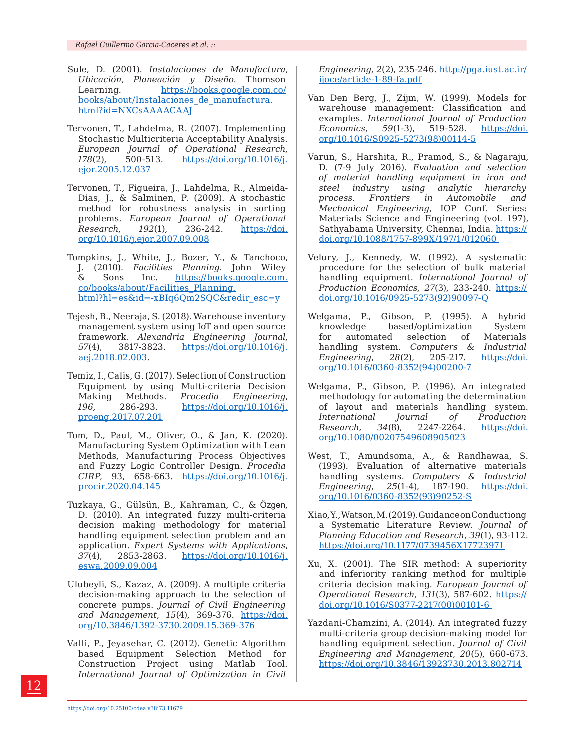- Sule, D. (2001). *Instalaciones de Manufactura, Ubicación, Planeación y Diseño*. Thomson Learning. [https://books.google.com.co/](https://books.google.com.co/books/about/Instalaciones_de_manufactura.html?id=NXCsAAAACAAJ) [books/about/Instalaciones\\_de\\_manufactura.](https://books.google.com.co/books/about/Instalaciones_de_manufactura.html?id=NXCsAAAACAAJ) [html?id=NXCsAAAACAAJ](https://books.google.com.co/books/about/Instalaciones_de_manufactura.html?id=NXCsAAAACAAJ)
- Tervonen, T., Lahdelma, R. (2007). Implementing Stochastic Multicriteria Acceptability Analysis. *European Journal of Operational Research*, *178*(2), 500-513. [https://doi.org/10.1016/j.](https://doi.org/10.1016/j.ejor.2005.12.037) [ejor.2005.12.037](https://doi.org/10.1016/j.ejor.2005.12.037)
- Tervonen, T., Figueira, J., Lahdelma, R., Almeida-Dias, J., & Salminen, P. (2009). A stochastic method for robustness analysis in sorting problems. *European Journal of Operational Research*, *192*(1), 236-242. [https://doi.](https://doi.org/10.1016/j.ejor.2007.09.008) [org/10.1016/j.ejor.2007.09.008](https://doi.org/10.1016/j.ejor.2007.09.008)
- Tompkins, J., White, J., Bozer, Y., & Tanchoco, J. (2010). *Facilities Planning*. John Wiley & Sons Inc. [https://books.google.com.](https://books.google.com.co/books/about/Facilities_Planning.html?hl=es&id=-xBIq6Qm2SQC&redir_esc=y) [co/books/about/Facilities\\_Planning.](https://books.google.com.co/books/about/Facilities_Planning.html?hl=es&id=-xBIq6Qm2SQC&redir_esc=y) [html?hl=es&id=-xBIq6Qm2SQC&redir\\_esc=y](https://books.google.com.co/books/about/Facilities_Planning.html?hl=es&id=-xBIq6Qm2SQC&redir_esc=y)
- Tejesh, B., Neeraja, S. (2018). Warehouse inventory management system using IoT and open source framework. *Alexandria Engineering Journal*, *57*(4), 3817-3823. [https://doi.org/10.1016/j.](https://doi.org/10.1016/j.aej.2018.02.003) [aej.2018.02.003.](https://doi.org/10.1016/j.aej.2018.02.003)
- Temiz, I., Calis, G. (2017). Selection of Construction Equipment by using Multi-criteria Decision Making Methods. *Procedia Engineering*, *196,* 286-293. [https://doi.org/10.1016/j.](https://doi.org/10.1016/j.proeng.2017.07.201) [proeng.2017.07.201](https://doi.org/10.1016/j.proeng.2017.07.201)
- Tom, D., Paul, M., Oliver, O., & Jan, K. (2020). Manufacturing System Optimization with Lean Methods, Manufacturing Process Objectives and Fuzzy Logic Controller Design. *Procedia CIRP*, 93, 658-663. [https://doi.org/10.1016/j.](https://doi.org/10.1016/j.procir.2020.04.145) [procir.2020.04.145](https://doi.org/10.1016/j.procir.2020.04.145)
- Tuzkaya, G., Gülsün, B., Kahraman, C., & Özgen, D. (2010). An integrated fuzzy multi-criteria decision making methodology for material handling equipment selection problem and an application. *Expert Systems with Applications*, *37*(4), 2853-2863. [https://doi.org/10.1016/j.](https://doi.org/10.1016/j.eswa.2009.09.004) [eswa.2009.09.004](https://doi.org/10.1016/j.eswa.2009.09.004)
- Ulubeyli, S., Kazaz, A. (2009). A multiple criteria decision‐making approach to the selection of concrete pumps. *Journal of Civil Engineering and Management*, *15*(4), 369-376. [https://doi.](https://doi.org/10.3846/1392-3730.2009.15.369-376) [org/10.3846/1392-3730.2009.15.369-376](https://doi.org/10.3846/1392-3730.2009.15.369-376)
- Valli, P., Jeyasehar, C. (2012). Genetic Algorithm based Equipment Selection Method for Construction Project using Matlab Tool. *International Journal of Optimization in Civil*

*Engineering, 2*(2), 235-246. http://pga.iust.ac.ir/ ijoce/article-1-89-fa.pdf

- Van Den Berg, J., Zijm, W. (1999). Models for warehouse management: Classification and examples. *International Journal of Production Economics*, *59*(1-3), 519-528. [https://doi.](https://doi.org/10.1016/S0925-5273(98)00114-5) [org/10.1016/S0925-5273\(98\)00114-5](https://doi.org/10.1016/S0925-5273(98)00114-5)
- Varun, S., Harshita, R., Pramod, S., & Nagaraju, D. (7-9 July 2016). *Evaluation and selection of material handling equipment in iron and steel industry using analytic hierarchy process. Frontiers in Automobile and Mechanical Engineering*, IOP Conf. Series: Materials Science and Engineering (vol. 197), Sathyabama University, Chennai, India. [https://](https://doi.org/10.1088/1757-899X/197/1/012060) [doi.org/10.1088/1757-899X/197/1/012060](https://doi.org/10.1088/1757-899X/197/1/012060)
- Velury, J., Kennedy, W. (1992). A systematic procedure for the selection of bulk material handling equipment. *International Journal of Production Economics, 27*(3), 233-240. [https://](https://doi.org/10.1016/0925-5273(92)90097-Q) [doi.org/10.1016/0925-5273\(92\)90097-Q](https://doi.org/10.1016/0925-5273(92)90097-Q)
- Welgama, P., Gibson, P. (1995). A hybrid knowledge based/optimization System for automated selection of Materials handling system. *Computers& Industrial Engineering*, *28*(2), 205-217. [https://doi.](https://doi.org/10.1016/0360-8352(94)00200-7) [org/10.1016/0360-8352\(94\)00200-7](https://doi.org/10.1016/0360-8352(94)00200-7)
- Welgama, P., Gibson, P. (1996). An integrated methodology for automating the determination of layout and materials handling system. *International Journal of Production Research, 34*(8), 2247-2264. [https://doi.](https://doi.org/10.1080/00207549608905023) [org/10.1080/00207549608905023](https://doi.org/10.1080/00207549608905023)
- West, T., Amundsoma, A., & Randhawaa, S. (1993). Evaluation of alternative materials handling systems. *Computers & Industrial*<br> *Engineering, 25*(1-4), 187-190. https://doi. *Engineering, 25*(1-4), 187-190. [org/10.1016/0360-8352\(93\)90252-S](https://doi.org/10.1016/0360-8352(93)90252-S)
- Xiao, Y., Watson, M. (2019). Guidance on Conductiong a Systematic Literature Review. *Journal of Planning Education and Research*, *39*(1), 93-112. <https://doi.org/10.1177/0739456X17723971>
- Xu, X. (2001). The SIR method: A superiority and inferiority ranking method for multiple criteria decision making. *European Journal of Operational Research, 131*(3), 587-602. [https://](https://doi.org/10.1016/S0377-2217(00)00101-6) [doi.org/10.1016/S0377-2217\(00\)00101-6](https://doi.org/10.1016/S0377-2217(00)00101-6)
- Yazdani-Chamzini, A. (2014). An integrated fuzzy multi-criteria group decision-making model for handling equipment selection. *Journal of Civil Engineering and Management, 20*(5), 660-673. <https://doi.org/10.3846/13923730.2013.802714>